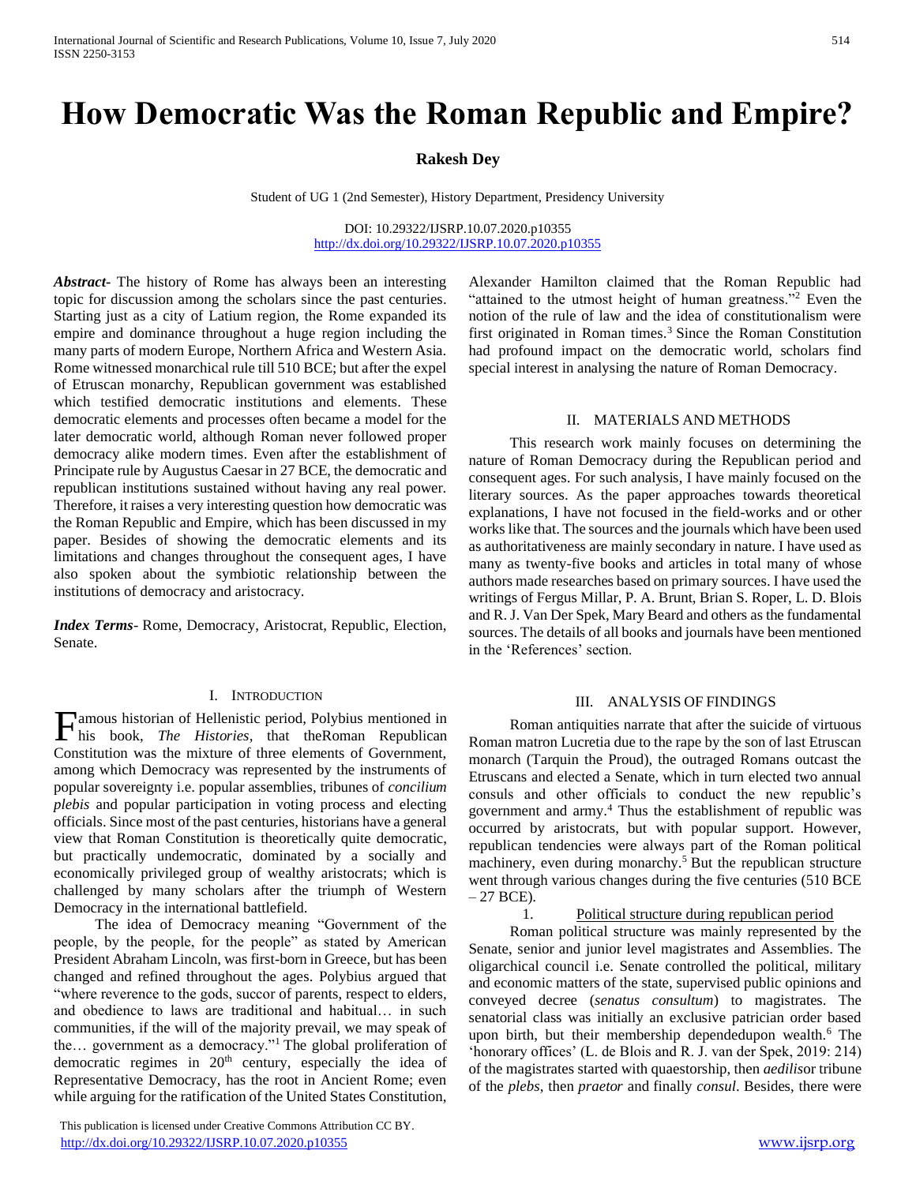# **How Democratic Was the Roman Republic and Empire?**

## **Rakesh Dey**

Student of UG 1 (2nd Semester), History Department, Presidency University

DOI: 10.29322/IJSRP.10.07.2020.p10355 <http://dx.doi.org/10.29322/IJSRP.10.07.2020.p10355>

*Abstract***-** The history of Rome has always been an interesting topic for discussion among the scholars since the past centuries. Starting just as a city of Latium region, the Rome expanded its empire and dominance throughout a huge region including the many parts of modern Europe, Northern Africa and Western Asia. Rome witnessed monarchical rule till 510 BCE; but after the expel of Etruscan monarchy, Republican government was established which testified democratic institutions and elements. These democratic elements and processes often became a model for the later democratic world, although Roman never followed proper democracy alike modern times. Even after the establishment of Principate rule by Augustus Caesar in 27 BCE, the democratic and republican institutions sustained without having any real power. Therefore, it raises a very interesting question how democratic was the Roman Republic and Empire, which has been discussed in my paper. Besides of showing the democratic elements and its limitations and changes throughout the consequent ages, I have also spoken about the symbiotic relationship between the institutions of democracy and aristocracy.

*Index Terms*- Rome, Democracy, Aristocrat, Republic, Election, Senate.

### I. INTRODUCTION

**F**amous historian of Hellenistic period, Polybius mentioned in his book, *The Histories*, that the Roman Republican his book, *The Histories*, that theRoman Republican Constitution was the mixture of three elements of Government, among which Democracy was represented by the instruments of popular sovereignty i.e. popular assemblies, tribunes of *concilium plebis* and popular participation in voting process and electing officials. Since most of the past centuries, historians have a general view that Roman Constitution is theoretically quite democratic, but practically undemocratic, dominated by a socially and economically privileged group of wealthy aristocrats; which is challenged by many scholars after the triumph of Western Democracy in the international battlefield.

The idea of Democracy meaning "Government of the people, by the people, for the people" as stated by American President Abraham Lincoln, was first-born in Greece, but has been changed and refined throughout the ages. Polybius argued that "where reverence to the gods, succor of parents, respect to elders, and obedience to laws are traditional and habitual… in such communities, if the will of the majority prevail, we may speak of the... government as a democracy."<sup>1</sup> The global proliferation of democratic regimes in 20<sup>th</sup> century, especially the idea of Representative Democracy, has the root in Ancient Rome; even while arguing for the ratification of the United States Constitution,

 This publication is licensed under Creative Commons Attribution CC BY. <http://dx.doi.org/10.29322/IJSRP.10.07.2020.p10355> [www.ijsrp.org](http://ijsrp.org/)

Alexander Hamilton claimed that the Roman Republic had "attained to the utmost height of human greatness."<sup>2</sup> Even the notion of the rule of law and the idea of constitutionalism were first originated in Roman times. $3$  Since the Roman Constitution had profound impact on the democratic world, scholars find special interest in analysing the nature of Roman Democracy.

## II. MATERIALS AND METHODS

This research work mainly focuses on determining the nature of Roman Democracy during the Republican period and consequent ages. For such analysis, I have mainly focused on the literary sources. As the paper approaches towards theoretical explanations, I have not focused in the field-works and or other works like that. The sources and the journals which have been used as authoritativeness are mainly secondary in nature. I have used as many as twenty-five books and articles in total many of whose authors made researches based on primary sources. I have used the writings of Fergus Millar, P. A. Brunt, Brian S. Roper, L. D. Blois and R. J. Van Der Spek, Mary Beard and others as the fundamental sources. The details of all books and journals have been mentioned in the 'References' section.

#### III. ANALYSIS OF FINDINGS

Roman antiquities narrate that after the suicide of virtuous Roman matron Lucretia due to the rape by the son of last Etruscan monarch (Tarquin the Proud), the outraged Romans outcast the Etruscans and elected a Senate, which in turn elected two annual consuls and other officials to conduct the new republic's government and army.<sup>4</sup> Thus the establishment of republic was occurred by aristocrats, but with popular support. However, republican tendencies were always part of the Roman political machinery, even during monarchy.<sup>5</sup> But the republican structure went through various changes during the five centuries (510 BCE  $-27$  BCE).

#### 1. Political structure during republican period

Roman political structure was mainly represented by the Senate, senior and junior level magistrates and Assemblies. The oligarchical council i.e. Senate controlled the political, military and economic matters of the state, supervised public opinions and conveyed decree (*senatus consultum*) to magistrates. The senatorial class was initially an exclusive patrician order based upon birth, but their membership dependedupon wealth.<sup>6</sup> The 'honorary offices' (L. de Blois and R. J. van der Spek, 2019: 214) of the magistrates started with quaestorship, then *aedilis*or tribune of the *plebs*, then *praetor* and finally *consul*. Besides, there were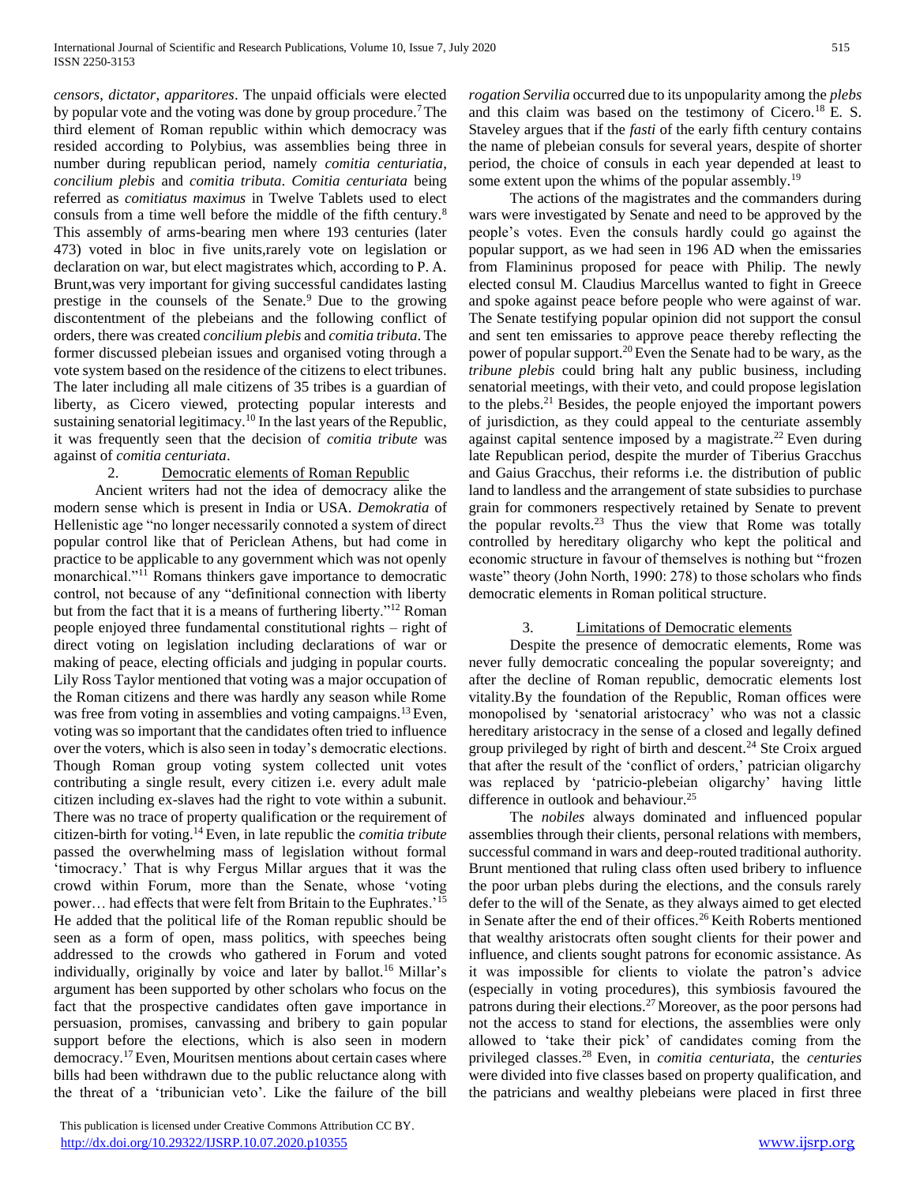*censors*, *dictator*, *apparitores*. The unpaid officials were elected by popular vote and the voting was done by group procedure.<sup>7</sup> The third element of Roman republic within which democracy was resided according to Polybius, was assemblies being three in number during republican period, namely *comitia centuriatia*, *concilium plebis* and *comitia tributa*. *Comitia centuriata* being referred as *comitiatus maximus* in Twelve Tablets used to elect consuls from a time well before the middle of the fifth century.<sup>8</sup> This assembly of arms-bearing men where 193 centuries (later 473) voted in bloc in five units,rarely vote on legislation or declaration on war, but elect magistrates which, according to P. A. Brunt,was very important for giving successful candidates lasting prestige in the counsels of the Senate.<sup>9</sup> Due to the growing discontentment of the plebeians and the following conflict of orders, there was created *concilium plebis* and *comitia tributa*. The former discussed plebeian issues and organised voting through a vote system based on the residence of the citizens to elect tribunes. The later including all male citizens of 35 tribes is a guardian of liberty, as Cicero viewed, protecting popular interests and sustaining senatorial legitimacy.<sup>10</sup> In the last years of the Republic, it was frequently seen that the decision of *comitia tribute* was against of *comitia centuriata*.

## 2. Democratic elements of Roman Republic

Ancient writers had not the idea of democracy alike the modern sense which is present in India or USA. *Demokratia* of Hellenistic age "no longer necessarily connoted a system of direct popular control like that of Periclean Athens, but had come in practice to be applicable to any government which was not openly monarchical."<sup>11</sup> Romans thinkers gave importance to democratic control, not because of any "definitional connection with liberty but from the fact that it is a means of furthering liberty."<sup>12</sup> Roman people enjoyed three fundamental constitutional rights – right of direct voting on legislation including declarations of war or making of peace, electing officials and judging in popular courts. Lily Ross Taylor mentioned that voting was a major occupation of the Roman citizens and there was hardly any season while Rome was free from voting in assemblies and voting campaigns.<sup>13</sup> Even, voting was so important that the candidates often tried to influence over the voters, which is also seen in today's democratic elections. Though Roman group voting system collected unit votes contributing a single result, every citizen i.e. every adult male citizen including ex-slaves had the right to vote within a subunit. There was no trace of property qualification or the requirement of citizen-birth for voting.<sup>14</sup>Even, in late republic the *comitia tribute*  passed the overwhelming mass of legislation without formal 'timocracy.' That is why Fergus Millar argues that it was the crowd within Forum, more than the Senate, whose 'voting power… had effects that were felt from Britain to the Euphrates.'<sup>15</sup> He added that the political life of the Roman republic should be seen as a form of open, mass politics, with speeches being addressed to the crowds who gathered in Forum and voted individually, originally by voice and later by ballot.<sup>16</sup> Millar's argument has been supported by other scholars who focus on the fact that the prospective candidates often gave importance in persuasion, promises, canvassing and bribery to gain popular support before the elections, which is also seen in modern democracy.<sup>17</sup>Even, Mouritsen mentions about certain cases where bills had been withdrawn due to the public reluctance along with the threat of a 'tribunician veto'. Like the failure of the bill

 This publication is licensed under Creative Commons Attribution CC BY. <http://dx.doi.org/10.29322/IJSRP.10.07.2020.p10355> [www.ijsrp.org](http://ijsrp.org/)

*rogation Servilia* occurred due to its unpopularity among the *plebs* and this claim was based on the testimony of Cicero.<sup>18</sup> E. S. Staveley argues that if the *fasti* of the early fifth century contains the name of plebeian consuls for several years, despite of shorter period, the choice of consuls in each year depended at least to some extent upon the whims of the popular assembly.<sup>19</sup>

The actions of the magistrates and the commanders during wars were investigated by Senate and need to be approved by the people's votes. Even the consuls hardly could go against the popular support, as we had seen in 196 AD when the emissaries from Flamininus proposed for peace with Philip. The newly elected consul M. Claudius Marcellus wanted to fight in Greece and spoke against peace before people who were against of war. The Senate testifying popular opinion did not support the consul and sent ten emissaries to approve peace thereby reflecting the power of popular support.<sup>20</sup> Even the Senate had to be wary, as the *tribune plebis* could bring halt any public business, including senatorial meetings, with their veto, and could propose legislation to the plebs.<sup>21</sup> Besides, the people enjoyed the important powers of jurisdiction, as they could appeal to the centuriate assembly against capital sentence imposed by a magistrate.<sup>22</sup> Even during late Republican period, despite the murder of Tiberius Gracchus and Gaius Gracchus, their reforms i.e. the distribution of public land to landless and the arrangement of state subsidies to purchase grain for commoners respectively retained by Senate to prevent the popular revolts.<sup>23</sup> Thus the view that Rome was totally controlled by hereditary oligarchy who kept the political and economic structure in favour of themselves is nothing but "frozen waste" theory (John North, 1990: 278) to those scholars who finds democratic elements in Roman political structure.

## 3. Limitations of Democratic elements

Despite the presence of democratic elements, Rome was never fully democratic concealing the popular sovereignty; and after the decline of Roman republic, democratic elements lost vitality.By the foundation of the Republic, Roman offices were monopolised by 'senatorial aristocracy' who was not a classic hereditary aristocracy in the sense of a closed and legally defined group privileged by right of birth and descent.<sup>24</sup> Ste Croix argued that after the result of the 'conflict of orders,' patrician oligarchy was replaced by 'patricio-plebeian oligarchy' having little difference in outlook and behaviour.<sup>25</sup>

The *nobiles* always dominated and influenced popular assemblies through their clients, personal relations with members, successful command in wars and deep-routed traditional authority. Brunt mentioned that ruling class often used bribery to influence the poor urban plebs during the elections, and the consuls rarely defer to the will of the Senate, as they always aimed to get elected in Senate after the end of their offices.<sup>26</sup> Keith Roberts mentioned that wealthy aristocrats often sought clients for their power and influence, and clients sought patrons for economic assistance. As it was impossible for clients to violate the patron's advice (especially in voting procedures), this symbiosis favoured the patrons during their elections.<sup>27</sup>Moreover, as the poor persons had not the access to stand for elections, the assemblies were only allowed to 'take their pick' of candidates coming from the privileged classes.<sup>28</sup>Even, in *comitia centuriata*, the *centuries*  were divided into five classes based on property qualification, and the patricians and wealthy plebeians were placed in first three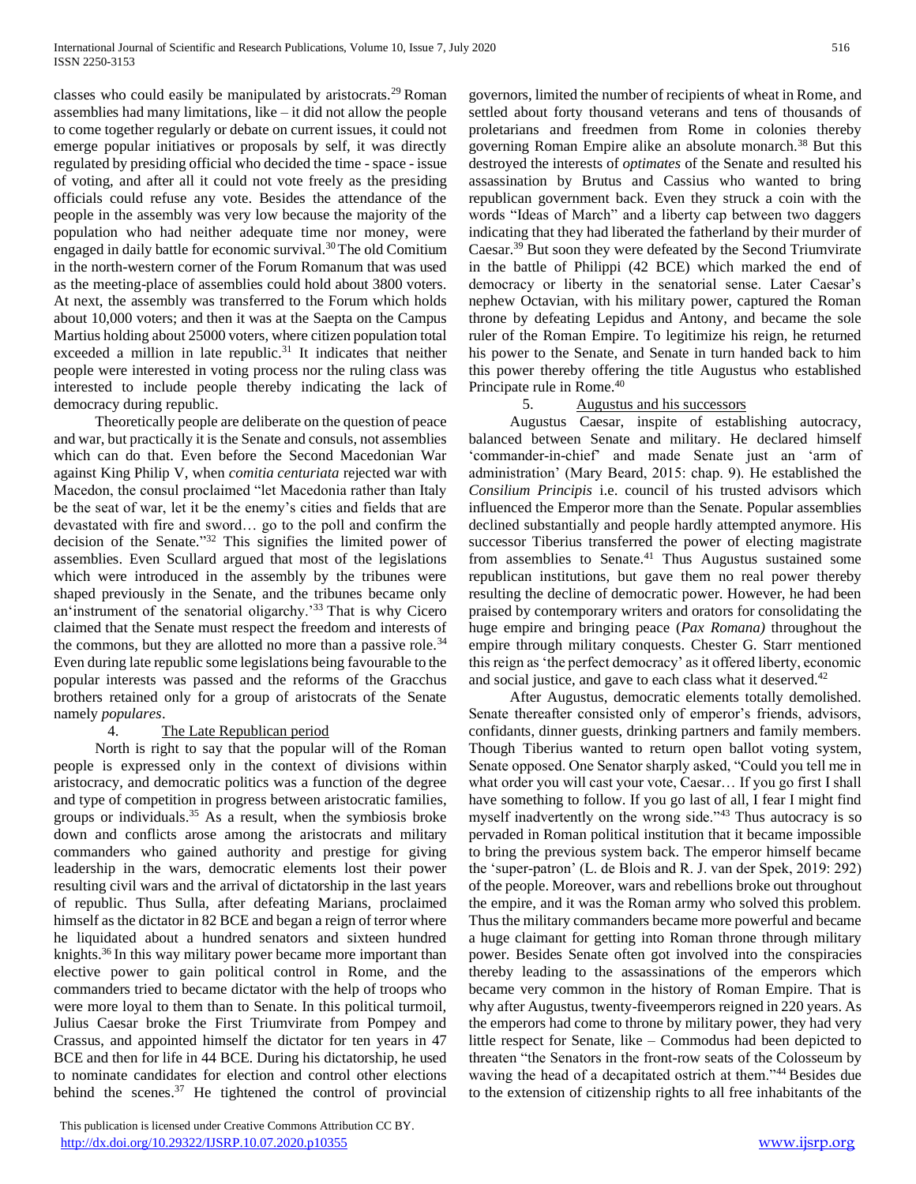classes who could easily be manipulated by aristocrats.<sup>29</sup> Roman assemblies had many limitations, like – it did not allow the people to come together regularly or debate on current issues, it could not emerge popular initiatives or proposals by self, it was directly regulated by presiding official who decided the time -space - issue of voting, and after all it could not vote freely as the presiding officials could refuse any vote. Besides the attendance of the people in the assembly was very low because the majority of the population who had neither adequate time nor money, were engaged in daily battle for economic survival.<sup>30</sup> The old Comitium in the north-western corner of the Forum Romanum that was used as the meeting-place of assemblies could hold about 3800 voters. At next, the assembly was transferred to the Forum which holds about 10,000 voters; and then it was at the Saepta on the Campus Martius holding about 25000 voters, where citizen population total exceeded a million in late republic.<sup>31</sup> It indicates that neither people were interested in voting process nor the ruling class was interested to include people thereby indicating the lack of democracy during republic.

Theoretically people are deliberate on the question of peace and war, but practically it is the Senate and consuls, not assemblies which can do that. Even before the Second Macedonian War against King Philip V, when *comitia centuriata* rejected war with Macedon, the consul proclaimed "let Macedonia rather than Italy be the seat of war, let it be the enemy's cities and fields that are devastated with fire and sword… go to the poll and confirm the decision of the Senate." <sup>32</sup> This signifies the limited power of assemblies. Even Scullard argued that most of the legislations which were introduced in the assembly by the tribunes were shaped previously in the Senate, and the tribunes became only an'instrument of the senatorial oligarchy.<sup>'33</sup> That is why Cicero claimed that the Senate must respect the freedom and interests of the commons, but they are allotted no more than a passive role.<sup>34</sup> Even during late republic some legislations being favourable to the popular interests was passed and the reforms of the Gracchus brothers retained only for a group of aristocrats of the Senate namely *populares*.

# 4. The Late Republican period

North is right to say that the popular will of the Roman people is expressed only in the context of divisions within aristocracy, and democratic politics was a function of the degree and type of competition in progress between aristocratic families, groups or individuals. $35$  As a result, when the symbiosis broke down and conflicts arose among the aristocrats and military commanders who gained authority and prestige for giving leadership in the wars, democratic elements lost their power resulting civil wars and the arrival of dictatorship in the last years of republic. Thus Sulla, after defeating Marians, proclaimed himself as the dictator in 82 BCE and began a reign of terror where he liquidated about a hundred senators and sixteen hundred knights.<sup>36</sup> In this way military power became more important than elective power to gain political control in Rome, and the commanders tried to became dictator with the help of troops who were more loyal to them than to Senate. In this political turmoil, Julius Caesar broke the First Triumvirate from Pompey and Crassus, and appointed himself the dictator for ten years in 47 BCE and then for life in 44 BCE. During his dictatorship, he used to nominate candidates for election and control other elections behind the scenes.<sup>37</sup> He tightened the control of provincial

 This publication is licensed under Creative Commons Attribution CC BY. <http://dx.doi.org/10.29322/IJSRP.10.07.2020.p10355> [www.ijsrp.org](http://ijsrp.org/)

governors, limited the number of recipients of wheat in Rome, and settled about forty thousand veterans and tens of thousands of proletarians and freedmen from Rome in colonies thereby governing Roman Empire alike an absolute monarch.<sup>38</sup> But this destroyed the interests of *optimates* of the Senate and resulted his assassination by Brutus and Cassius who wanted to bring republican government back. Even they struck a coin with the words "Ideas of March" and a liberty cap between two daggers indicating that they had liberated the fatherland by their murder of Caesar.<sup>39</sup> But soon they were defeated by the Second Triumvirate in the battle of Philippi (42 BCE) which marked the end of democracy or liberty in the senatorial sense. Later Caesar's nephew Octavian, with his military power, captured the Roman throne by defeating Lepidus and Antony, and became the sole ruler of the Roman Empire. To legitimize his reign, he returned his power to the Senate, and Senate in turn handed back to him this power thereby offering the title Augustus who established Principate rule in Rome.<sup>40</sup>

# 5. Augustus and his successors

Augustus Caesar, inspite of establishing autocracy, balanced between Senate and military. He declared himself 'commander-in-chief' and made Senate just an 'arm of administration' (Mary Beard, 2015: chap. 9). He established the *Consilium Principis* i.e. council of his trusted advisors which influenced the Emperor more than the Senate. Popular assemblies declined substantially and people hardly attempted anymore. His successor Tiberius transferred the power of electing magistrate from assemblies to Senate.<sup>41</sup> Thus Augustus sustained some republican institutions, but gave them no real power thereby resulting the decline of democratic power. However, he had been praised by contemporary writers and orators for consolidating the huge empire and bringing peace (*Pax Romana)* throughout the empire through military conquests. Chester G. Starr mentioned this reign as 'the perfect democracy' as it offered liberty, economic and social justice, and gave to each class what it deserved.<sup>42</sup>

After Augustus, democratic elements totally demolished. Senate thereafter consisted only of emperor's friends, advisors, confidants, dinner guests, drinking partners and family members. Though Tiberius wanted to return open ballot voting system, Senate opposed. One Senator sharply asked, "Could you tell me in what order you will cast your vote, Caesar… If you go first I shall have something to follow. If you go last of all, I fear I might find myself inadvertently on the wrong side."<sup>43</sup> Thus autocracy is so pervaded in Roman political institution that it became impossible to bring the previous system back. The emperor himself became the 'super-patron' (L. de Blois and R. J. van der Spek, 2019: 292) of the people. Moreover, wars and rebellions broke out throughout the empire, and it was the Roman army who solved this problem. Thus the military commanders became more powerful and became a huge claimant for getting into Roman throne through military power. Besides Senate often got involved into the conspiracies thereby leading to the assassinations of the emperors which became very common in the history of Roman Empire. That is why after Augustus, twenty-fiveemperors reigned in 220 years. As the emperors had come to throne by military power, they had very little respect for Senate, like – Commodus had been depicted to threaten "the Senators in the front-row seats of the Colosseum by waving the head of a decapitated ostrich at them."<sup>44</sup> Besides due to the extension of citizenship rights to all free inhabitants of the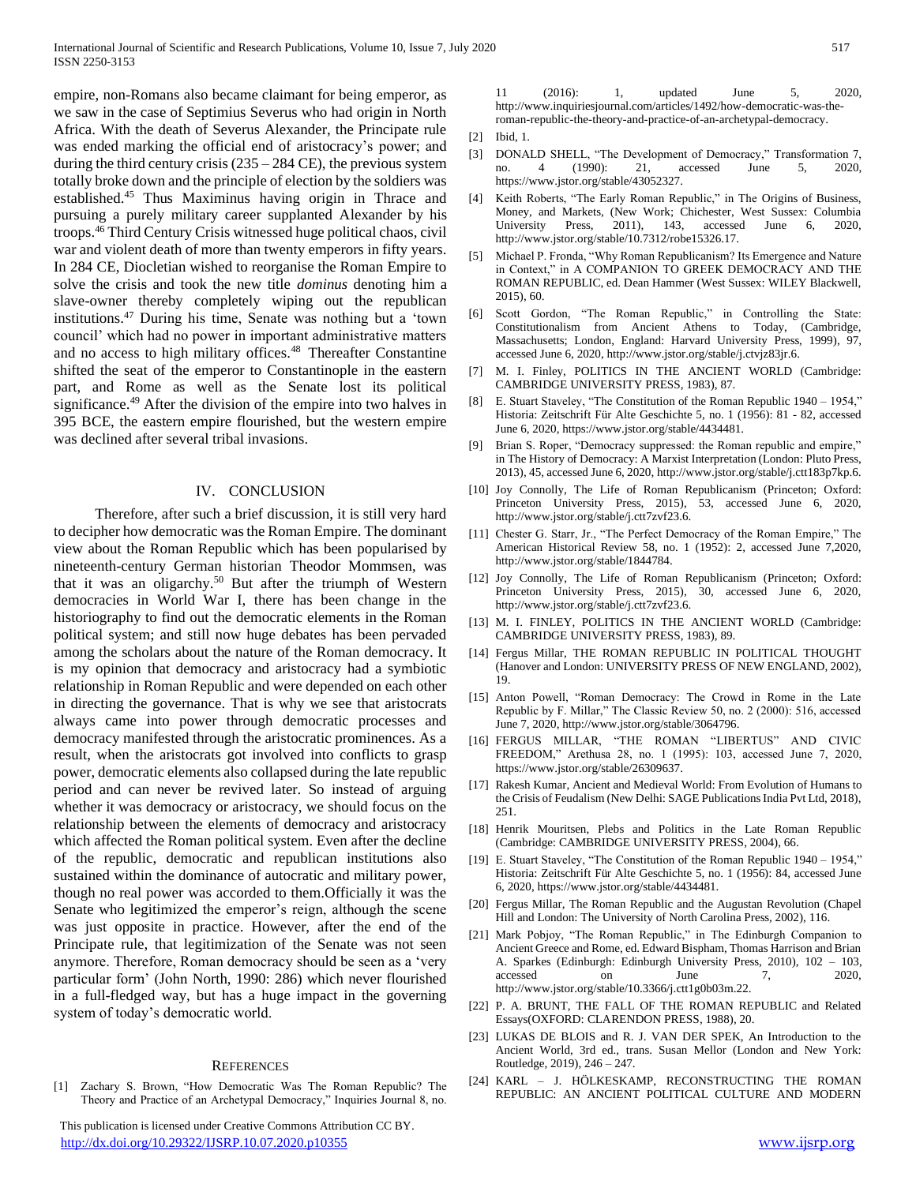empire, non-Romans also became claimant for being emperor, as we saw in the case of Septimius Severus who had origin in North Africa. With the death of Severus Alexander, the Principate rule was ended marking the official end of aristocracy's power; and during the third century crisis  $(235 – 284 \text{ CE})$ , the previous system totally broke down and the principle of election by the soldiers was established.<sup>45</sup> Thus Maximinus having origin in Thrace and pursuing a purely military career supplanted Alexander by his troops.<sup>46</sup> Third Century Crisis witnessed huge political chaos, civil war and violent death of more than twenty emperors in fifty years. In 284 CE, Diocletian wished to reorganise the Roman Empire to solve the crisis and took the new title *dominus* denoting him a slave-owner thereby completely wiping out the republican institutions.<sup>47</sup> During his time, Senate was nothing but a 'town council' which had no power in important administrative matters and no access to high military offices.<sup>48</sup> Thereafter Constantine shifted the seat of the emperor to Constantinople in the eastern part, and Rome as well as the Senate lost its political significance.<sup>49</sup> After the division of the empire into two halves in 395 BCE, the eastern empire flourished, but the western empire was declined after several tribal invasions.

#### IV. CONCLUSION

Therefore, after such a brief discussion, it is still very hard to decipher how democratic was the Roman Empire. The dominant view about the Roman Republic which has been popularised by nineteenth-century German historian Theodor Mommsen, was that it was an oligarchy.<sup>50</sup> But after the triumph of Western democracies in World War I, there has been change in the historiography to find out the democratic elements in the Roman political system; and still now huge debates has been pervaded among the scholars about the nature of the Roman democracy. It is my opinion that democracy and aristocracy had a symbiotic relationship in Roman Republic and were depended on each other in directing the governance. That is why we see that aristocrats always came into power through democratic processes and democracy manifested through the aristocratic prominences. As a result, when the aristocrats got involved into conflicts to grasp power, democratic elements also collapsed during the late republic period and can never be revived later. So instead of arguing whether it was democracy or aristocracy, we should focus on the relationship between the elements of democracy and aristocracy which affected the Roman political system. Even after the decline of the republic, democratic and republican institutions also sustained within the dominance of autocratic and military power, though no real power was accorded to them.Officially it was the Senate who legitimized the emperor's reign, although the scene was just opposite in practice. However, after the end of the Principate rule, that legitimization of the Senate was not seen anymore. Therefore, Roman democracy should be seen as a 'very particular form' (John North, 1990: 286) which never flourished in a full-fledged way, but has a huge impact in the governing system of today's democratic world.

## **REFERENCES**

[1] Zachary S. Brown, "How Democratic Was The Roman Republic? The Theory and Practice of an Archetypal Democracy," Inquiries Journal 8, no.

 This publication is licensed under Creative Commons Attribution CC BY. <http://dx.doi.org/10.29322/IJSRP.10.07.2020.p10355> [www.ijsrp.org](http://ijsrp.org/)

11 (2016): 1, updated June 5, 2020, http://www.inquiriesjournal.com/articles/1492/how-democratic-was-theroman-republic-the-theory-and-practice-of-an-archetypal-democracy.

- [2] Ibid, 1.
- [3] DONALD SHELL, "The Development of Democracy," Transformation 7, no. 4 (1990): 21, accessed June 5, 2020, https://www.jstor.org/stable/43052327.
- [4] Keith Roberts, "The Early Roman Republic," in The Origins of Business, Money, and Markets, (New Work; Chichester, West Sussex: Columbia University Press, 2011), 143, accessed June 6, 2020, http://www.jstor.org/stable/10.7312/robe15326.17.
- Michael P. Fronda, "Why Roman Republicanism? Its Emergence and Nature in Context," in A COMPANION TO GREEK DEMOCRACY AND THE ROMAN REPUBLIC, ed. Dean Hammer (West Sussex: WILEY Blackwell, 2015), 60.
- [6] Scott Gordon, "The Roman Republic," in Controlling the State: Constitutionalism from Ancient Athens to Today, (Cambridge, Massachusetts; London, England: Harvard University Press, 1999), 97, accessed June 6, 2020, http://www.jstor.org/stable/j.ctvjz83jr.6.
- [7] M. I. Finley, POLITICS IN THE ANCIENT WORLD (Cambridge: CAMBRIDGE UNIVERSITY PRESS, 1983), 87.
- [8] E. Stuart Staveley, "The Constitution of the Roman Republic 1940 1954," Historia: Zeitschrift Für Alte Geschichte 5, no. 1 (1956): 81 - 82, accessed June 6, 2020, https://www.jstor.org/stable/4434481.
- Brian S. Roper, "Democracy suppressed: the Roman republic and empire," in The History of Democracy: A Marxist Interpretation (London: Pluto Press, 2013), 45, accessed June 6, 2020, http://www.jstor.org/stable/j.ctt183p7kp.6.
- [10] Joy Connolly, The Life of Roman Republicanism (Princeton; Oxford: Princeton University Press, 2015), 53, accessed June 6, 2020, http://www.jstor.org/stable/j.ctt7zvf23.6.
- [11] Chester G. Starr, Jr., "The Perfect Democracy of the Roman Empire," The American Historical Review 58, no. 1 (1952): 2, accessed June 7,2020, http://www.jstor.org/stable/1844784.
- [12] Joy Connolly, The Life of Roman Republicanism (Princeton; Oxford: Princeton University Press, 2015), 30, accessed June 6, 2020, http://www.jstor.org/stable/j.ctt7zvf23.6.
- [13] M. I. FINLEY, POLITICS IN THE ANCIENT WORLD (Cambridge: CAMBRIDGE UNIVERSITY PRESS, 1983), 89.
- [14] Fergus Millar, THE ROMAN REPUBLIC IN POLITICAL THOUGHT (Hanover and London: UNIVERSITY PRESS OF NEW ENGLAND, 2002), 19.
- [15] Anton Powell, "Roman Democracy: The Crowd in Rome in the Late Republic by F. Millar," The Classic Review 50, no. 2 (2000): 516, accessed June 7, 2020, http://www.jstor.org/stable/3064796.
- [16] FERGUS MILLAR, "THE ROMAN "LIBERTUS" AND CIVIC FREEDOM," Arethusa 28, no. 1 (1995): 103, accessed June 7, 2020, https://www.jstor.org/stable/26309637.
- [17] Rakesh Kumar, Ancient and Medieval World: From Evolution of Humans to the Crisis of Feudalism (New Delhi: SAGE Publications India Pvt Ltd, 2018), 251.
- [18] Henrik Mouritsen, Plebs and Politics in the Late Roman Republic (Cambridge: CAMBRIDGE UNIVERSITY PRESS, 2004), 66.
- [19] E. Stuart Staveley, "The Constitution of the Roman Republic 1940 1954," Historia: Zeitschrift Für Alte Geschichte 5, no. 1 (1956): 84, accessed June 6, 2020, https://www.jstor.org/stable/4434481.
- [20] Fergus Millar, The Roman Republic and the Augustan Revolution (Chapel Hill and London: The University of North Carolina Press, 2002), 116.
- [21] Mark Pobjoy, "The Roman Republic," in The Edinburgh Companion to Ancient Greece and Rome, ed. Edward Bispham, Thomas Harrison and Brian A. Sparkes (Edinburgh: Edinburgh University Press, 2010), 102 – 103, accessed on June 7, 2020, http://www.jstor.org/stable/10.3366/j.ctt1g0b03m.22.
- [22] P. A. BRUNT, THE FALL OF THE ROMAN REPUBLIC and Related Essays(OXFORD: CLARENDON PRESS, 1988), 20.
- [23] LUKAS DE BLOIS and R. J. VAN DER SPEK, An Introduction to the Ancient World, 3rd ed., trans. Susan Mellor (London and New York: Routledge, 2019), 246 – 247.
- [24] KARL J. HÖLKESKAMP, RECONSTRUCTING THE ROMAN REPUBLIC: AN ANCIENT POLITICAL CULTURE AND MODERN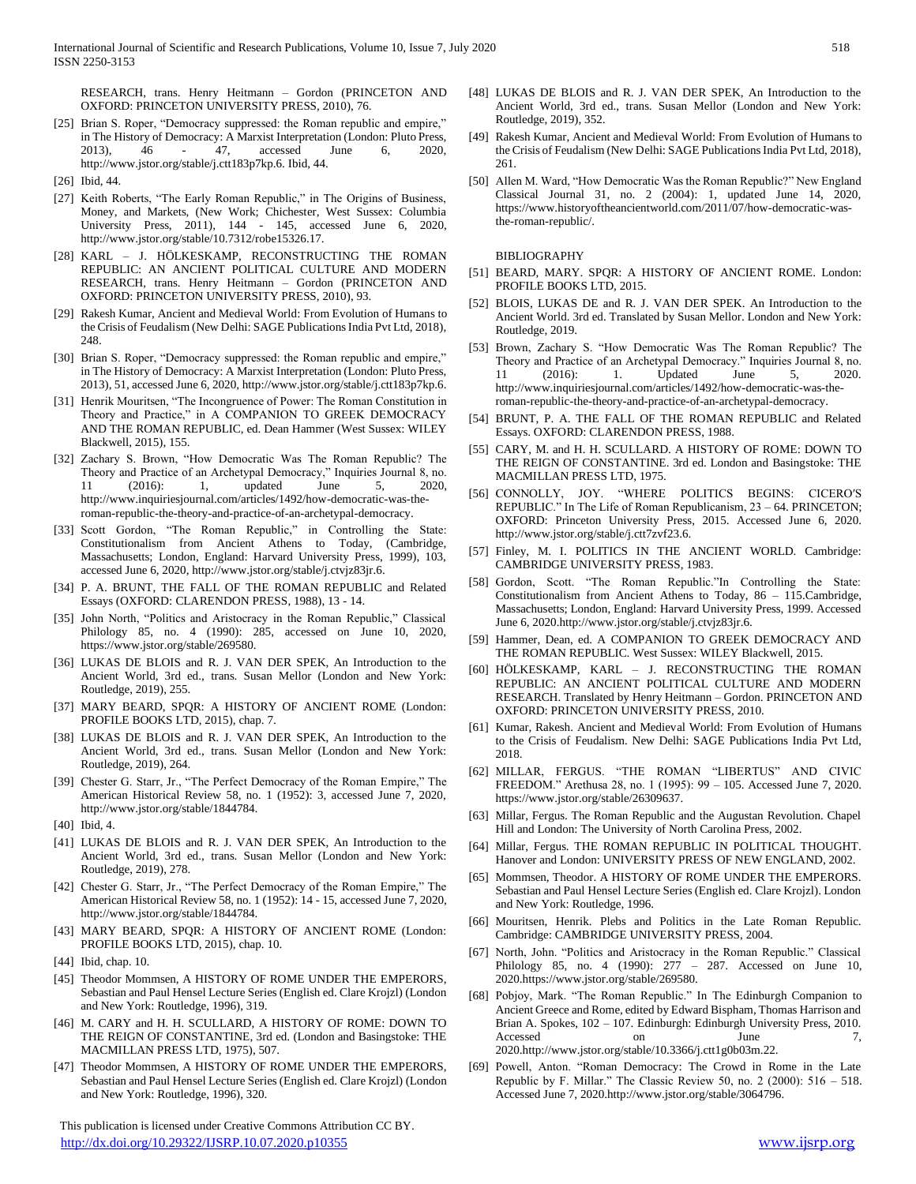RESEARCH, trans. Henry Heitmann – Gordon (PRINCETON AND OXFORD: PRINCETON UNIVERSITY PRESS, 2010), 76.

- [25] Brian S. Roper, "Democracy suppressed: the Roman republic and empire," in The History of Democracy: A Marxist Interpretation (London: Pluto Press, 2013), 46 - 47, accessed June 6, 2020, http://www.jstor.org/stable/j.ctt183p7kp.6. Ibid, 44.
- [26] Ibid, 44.
- [27] Keith Roberts, "The Early Roman Republic," in The Origins of Business, Money, and Markets, (New Work; Chichester, West Sussex: Columbia University Press, 2011), 144 - 145, accessed June 6, 2020, http://www.jstor.org/stable/10.7312/robe15326.17.
- [28] KARL J. HÖLKESKAMP, RECONSTRUCTING THE ROMAN REPUBLIC: AN ANCIENT POLITICAL CULTURE AND MODERN RESEARCH, trans. Henry Heitmann – Gordon (PRINCETON AND OXFORD: PRINCETON UNIVERSITY PRESS, 2010), 93.
- [29] Rakesh Kumar, Ancient and Medieval World: From Evolution of Humans to the Crisis of Feudalism (New Delhi: SAGE Publications India Pvt Ltd, 2018), 248.
- [30] Brian S. Roper, "Democracy suppressed: the Roman republic and empire," in The History of Democracy: A Marxist Interpretation (London: Pluto Press, 2013), 51, accessed June 6, 2020, http://www.jstor.org/stable/j.ctt183p7kp.6.
- [31] Henrik Mouritsen, "The Incongruence of Power: The Roman Constitution in Theory and Practice," in A COMPANION TO GREEK DEMOCRACY AND THE ROMAN REPUBLIC, ed. Dean Hammer (West Sussex: WILEY Blackwell, 2015), 155.
- [32] Zachary S. Brown, "How Democratic Was The Roman Republic? The Theory and Practice of an Archetypal Democracy," Inquiries Journal 8, no.<br>11 (2016): 1, updated June 5, 2020, 11 (2016): 1, updated June 5, http://www.inquiriesjournal.com/articles/1492/how-democratic-was-theroman-republic-the-theory-and-practice-of-an-archetypal-democracy.
- [33] Scott Gordon, "The Roman Republic," in Controlling the State: Constitutionalism from Ancient Athens to Today, (Cambridge, Massachusetts; London, England: Harvard University Press, 1999), 103, accessed June 6, 2020, http://www.jstor.org/stable/j.ctvjz83jr.6.
- [34] P. A. BRUNT, THE FALL OF THE ROMAN REPUBLIC and Related Essays (OXFORD: CLARENDON PRESS, 1988), 13 - 14.
- [35] John North, "Politics and Aristocracy in the Roman Republic," Classical Philology 85, no. 4 (1990): 285, accessed on June 10, 2020, https://www.jstor.org/stable/269580.
- [36] LUKAS DE BLOIS and R. J. VAN DER SPEK, An Introduction to the Ancient World, 3rd ed., trans. Susan Mellor (London and New York: Routledge, 2019), 255.
- [37] MARY BEARD, SPQR: A HISTORY OF ANCIENT ROME (London: PROFILE BOOKS LTD, 2015), chap. 7.
- [38] LUKAS DE BLOIS and R. J. VAN DER SPEK, An Introduction to the Ancient World, 3rd ed., trans. Susan Mellor (London and New York: Routledge, 2019), 264.
- [39] Chester G. Starr, Jr., "The Perfect Democracy of the Roman Empire," The American Historical Review 58, no. 1 (1952): 3, accessed June 7, 2020, http://www.jstor.org/stable/1844784.
- [40] Ibid, 4.
- [41] LUKAS DE BLOIS and R. J. VAN DER SPEK, An Introduction to the Ancient World, 3rd ed., trans. Susan Mellor (London and New York: Routledge, 2019), 278.
- [42] Chester G. Starr, Jr., "The Perfect Democracy of the Roman Empire," The American Historical Review 58, no. 1 (1952): 14 - 15, accessed June 7, 2020, http://www.jstor.org/stable/1844784.
- [43] MARY BEARD, SPQR: A HISTORY OF ANCIENT ROME (London: PROFILE BOOKS LTD, 2015), chap. 10.
- [44] Ibid, chap. 10.
- [45] Theodor Mommsen, A HISTORY OF ROME UNDER THE EMPERORS, Sebastian and Paul Hensel Lecture Series (English ed. Clare Krojzl) (London and New York: Routledge, 1996), 319.
- [46] M. CARY and H. H. SCULLARD, A HISTORY OF ROME: DOWN TO THE REIGN OF CONSTANTINE, 3rd ed. (London and Basingstoke: THE MACMILLAN PRESS LTD, 1975), 507.
- [47] Theodor Mommsen, A HISTORY OF ROME UNDER THE EMPERORS, Sebastian and Paul Hensel Lecture Series (English ed. Clare Krojzl) (London and New York: Routledge, 1996), 320.

 This publication is licensed under Creative Commons Attribution CC BY. <http://dx.doi.org/10.29322/IJSRP.10.07.2020.p10355> [www.ijsrp.org](http://ijsrp.org/)

- [48] LUKAS DE BLOIS and R. J. VAN DER SPEK, An Introduction to the Ancient World, 3rd ed., trans. Susan Mellor (London and New York: Routledge, 2019), 352.
- [49] Rakesh Kumar, Ancient and Medieval World: From Evolution of Humans to the Crisis of Feudalism (New Delhi: SAGE Publications India Pvt Ltd, 2018), 261.
- [50] Allen M. Ward, "How Democratic Was the Roman Republic?" New England Classical Journal 31, no. 2 (2004): 1, updated June 14, 2020, https://www.historyoftheancientworld.com/2011/07/how-democratic-wasthe-roman-republic/.

BIBLIOGRAPHY

- [51] BEARD, MARY. SPQR: A HISTORY OF ANCIENT ROME. London: PROFILE BOOKS LTD, 2015.
- [52] BLOIS, LUKAS DE and R. J. VAN DER SPEK. An Introduction to the Ancient World. 3rd ed. Translated by Susan Mellor. London and New York: Routledge, 2019.
- [53] Brown, Zachary S. "How Democratic Was The Roman Republic? The Theory and Practice of an Archetypal Democracy." Inquiries Journal 8, no. 11 (2016): 1. Updated June 5, 2020. http://www.inquiriesjournal.com/articles/1492/how-democratic-was-theroman-republic-the-theory-and-practice-of-an-archetypal-democracy.
- [54] BRUNT, P. A. THE FALL OF THE ROMAN REPUBLIC and Related Essays. OXFORD: CLARENDON PRESS, 1988.
- [55] CARY, M. and H. H. SCULLARD. A HISTORY OF ROME: DOWN TO THE REIGN OF CONSTANTINE. 3rd ed. London and Basingstoke: THE MACMILLAN PRESS LTD, 1975.
- [56] CONNOLLY, JOY. "WHERE POLITICS BEGINS: CICEROʹS REPUBLIC." In The Life of Roman Republicanism, 23 – 64. PRINCETON; OXFORD: Princeton University Press, 2015. Accessed June 6, 2020. http://www.jstor.org/stable/j.ctt7zvf23.6.
- [57] Finley, M. I. POLITICS IN THE ANCIENT WORLD. Cambridge: CAMBRIDGE UNIVERSITY PRESS, 1983.
- [58] Gordon, Scott. "The Roman Republic."In Controlling the State: Constitutionalism from Ancient Athens to Today, 86 – 115.Cambridge, Massachusetts; London, England: Harvard University Press, 1999. Accessed June 6, 2020.http://www.jstor.org/stable/j.ctvjz83jr.6.
- [59] Hammer, Dean, ed. A COMPANION TO GREEK DEMOCRACY AND THE ROMAN REPUBLIC. West Sussex: WILEY Blackwell, 2015.
- [60] HÖLKESKAMP, KARL J. RECONSTRUCTING THE ROMAN REPUBLIC: AN ANCIENT POLITICAL CULTURE AND MODERN RESEARCH. Translated by Henry Heitmann – Gordon. PRINCETON AND OXFORD: PRINCETON UNIVERSITY PRESS, 2010.
- [61] Kumar, Rakesh. Ancient and Medieval World: From Evolution of Humans to the Crisis of Feudalism. New Delhi: SAGE Publications India Pvt Ltd, 2018.
- [62] MILLAR, FERGUS. "THE ROMAN "LIBERTUS" AND CIVIC FREEDOM." Arethusa 28, no. 1 (1995): 99 – 105. Accessed June 7, 2020. https://www.jstor.org/stable/26309637.
- [63] Millar, Fergus. The Roman Republic and the Augustan Revolution. Chapel Hill and London: The University of North Carolina Press, 2002.
- [64] Millar, Fergus. THE ROMAN REPUBLIC IN POLITICAL THOUGHT. Hanover and London: UNIVERSITY PRESS OF NEW ENGLAND, 2002.
- [65] Mommsen, Theodor. A HISTORY OF ROME UNDER THE EMPERORS. Sebastian and Paul Hensel Lecture Series (English ed. Clare Krojzl). London and New York: Routledge, 1996.
- [66] Mouritsen, Henrik. Plebs and Politics in the Late Roman Republic. Cambridge: CAMBRIDGE UNIVERSITY PRESS, 2004.
- [67] North, John. "Politics and Aristocracy in the Roman Republic." Classical Philology 85, no. 4 (1990): 277 – 287. Accessed on June 10, 2020.https://www.jstor.org/stable/269580.
- [68] Pobjoy, Mark. "The Roman Republic." In The Edinburgh Companion to Ancient Greece and Rome, edited by Edward Bispham, Thomas Harrison and Brian A. Spokes, 102 – 107. Edinburgh: Edinburgh University Press, 2010. Accessed on June 7, 2020.http://www.jstor.org/stable/10.3366/j.ctt1g0b03m.22.
- [69] Powell, Anton. "Roman Democracy: The Crowd in Rome in the Late Republic by F. Millar." The Classic Review 50, no. 2 (2000): 516 – 518. Accessed June 7, 2020.http://www.jstor.org/stable/3064796.